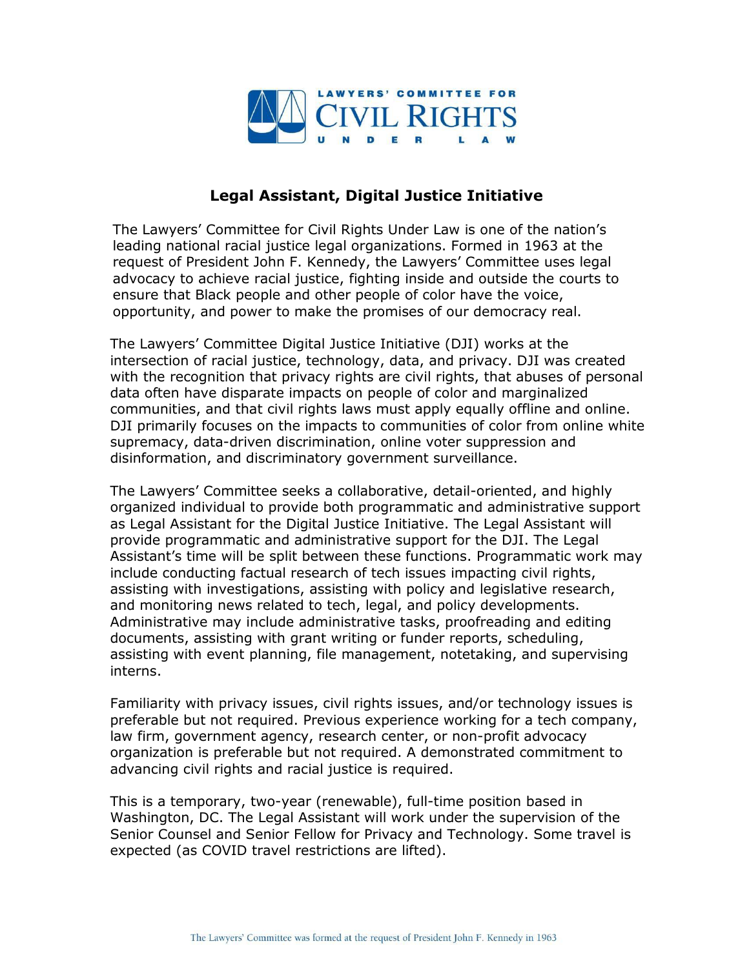

## **Legal Assistant, Digital Justice Initiative**

The Lawyers' Committee for Civil Rights Under Law is one of the nation's leading national racial justice legal organizations. Formed in 1963 at the request of President John F. Kennedy, the Lawyers' Committee uses legal advocacy to achieve racial justice, fighting inside and outside the courts to ensure that Black people and other people of color have the voice, opportunity, and power to make the promises of our democracy real.

The Lawyers' Committee Digital Justice Initiative (DJI) works at the intersection of racial justice, technology, data, and privacy. DJI was created with the recognition that privacy rights are civil rights, that abuses of personal data often have disparate impacts on people of color and marginalized communities, and that civil rights laws must apply equally offline and online. DJI primarily focuses on the impacts to communities of color from online white supremacy, data-driven discrimination, online voter suppression and disinformation, and discriminatory government surveillance.

The Lawyers' Committee seeks a collaborative, detail-oriented, and highly organized individual to provide both programmatic and administrative support as Legal Assistant for the Digital Justice Initiative. The Legal Assistant will provide programmatic and administrative support for the DJI. The Legal Assistant's time will be split between these functions. Programmatic work may include conducting factual research of tech issues impacting civil rights, assisting with investigations, assisting with policy and legislative research, and monitoring news related to tech, legal, and policy developments. Administrative may include administrative tasks, proofreading and editing documents, assisting with grant writing or funder reports, scheduling, assisting with event planning, file management, notetaking, and supervising interns.

Familiarity with privacy issues, civil rights issues, and/or technology issues is preferable but not required. Previous experience working for a tech company, law firm, government agency, research center, or non-profit advocacy organization is preferable but not required. A demonstrated commitment to advancing civil rights and racial justice is required.

This is a temporary, two-year (renewable), full-time position based in Washington, DC. The Legal Assistant will work under the supervision of the Senior Counsel and Senior Fellow for Privacy and Technology. Some travel is expected (as COVID travel restrictions are lifted).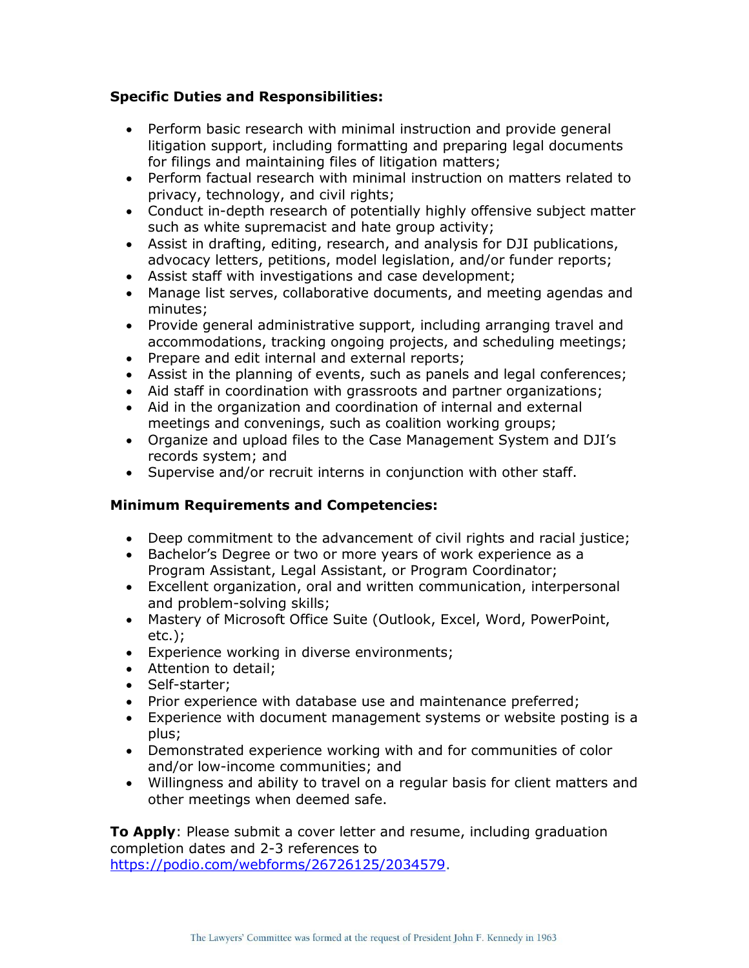## **Specific Duties and Responsibilities:**

- Perform basic research with minimal instruction and provide general litigation support, including formatting and preparing legal documents for filings and maintaining files of litigation matters;
- Perform factual research with minimal instruction on matters related to privacy, technology, and civil rights;
- Conduct in-depth research of potentially highly offensive subject matter such as white supremacist and hate group activity;
- Assist in drafting, editing, research, and analysis for DJI publications, advocacy letters, petitions, model legislation, and/or funder reports;
- Assist staff with investigations and case development;
- Manage list serves, collaborative documents, and meeting agendas and minutes;
- Provide general administrative support, including arranging travel and accommodations, tracking ongoing projects, and scheduling meetings;
- Prepare and edit internal and external reports;
- Assist in the planning of events, such as panels and legal conferences;
- Aid staff in coordination with grassroots and partner organizations;
- Aid in the organization and coordination of internal and external meetings and convenings, such as coalition working groups;
- Organize and upload files to the Case Management System and DJI's records system; and
- Supervise and/or recruit interns in conjunction with other staff.

## **Minimum Requirements and Competencies:**

- Deep commitment to the advancement of civil rights and racial justice;
- Bachelor's Degree or two or more years of work experience as a Program Assistant, Legal Assistant, or Program Coordinator;
- Excellent organization, oral and written communication, interpersonal and problem-solving skills;
- Mastery of Microsoft Office Suite (Outlook, Excel, Word, PowerPoint, etc.);
- Experience working in diverse environments;
- Attention to detail;
- Self-starter;
- Prior experience with database use and maintenance preferred;
- Experience with document management systems or website posting is a plus;
- Demonstrated experience working with and for communities of color and/or low-income communities; and
- Willingness and ability to travel on a regular basis for client matters and other meetings when deemed safe.

**To Apply**: Please submit a cover letter and resume, including graduation completion dates and 2-3 references to [https://podio.com/webforms/26726125/2034579.](https://podio.com/webforms/26726125/2034579)